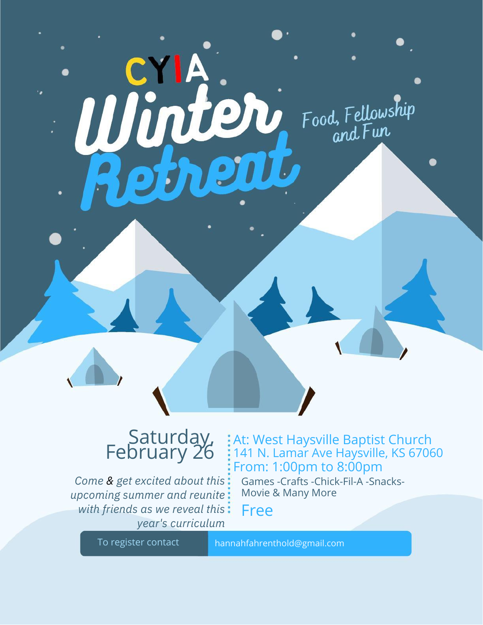

## Saturday, February 26

*Come & get excited about this upcoming summer and reunite with friends as we reveal this year's curriculum*

## At: West Haysville Baptist Church 141 N. Lamar Ave Haysville, KS 67060 From: 1:00pm to 8:00pm

Games -Crafts -Chick-Fil-A -Snacks-Movie & Many More

Free

To register contact hannahfahrenthold@gmail.com